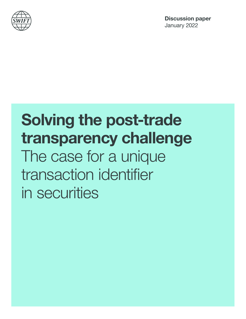

# Solving the post-trade transparency challenge The case for a unique transaction identifier in securities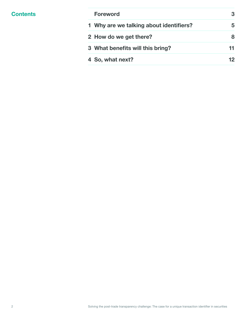| <b>Foreword</b>                         | 3  |
|-----------------------------------------|----|
| 1 Why are we talking about identifiers? | 5  |
| 2 How do we get there?                  | 8  |
| 3 What benefits will this bring?        | 11 |
| 4 So, what next?                        |    |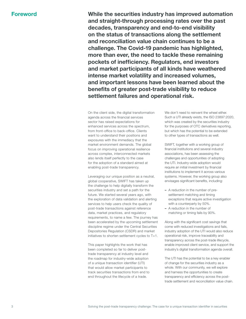Foreword While the securities industry has improved automation and straight-through processing rates over the past decades, transparency and end-to-end visibility on the status of transactions along the settlement and reconciliation value chain continues to be a challenge. The Covid-19 pandemic has highlighted, more than ever, the need to tackle these remaining pockets of inefficiency. Regulators, end investors and market participants of all kinds have weathered intense market volatility and increased volumes, and important lessons have been learned about the benefits of greater post-trade visibility to reduce settlement failures and operational risk.

> On the client side, the digital transformation agenda across the financial services sector has raised expectations for enhanced services across the spectrum, from front-office to back-office. Clients want to understand their positions and exposures with the immediacy that the market environment demands. The global focus on improving operational resilience across complex, interconnected markets also lends itself perfectly to the case for the adoption of a standard aimed at enabling post-trade transparency.

Leveraging our unique position as a neutral, global cooperative, SWIFT has taken up the challenge to help digitally transform the securities industry and set a path for the future. We started several years ago, with the exploration of data validation and alerting services to help users check the quality of post-trade transactions against reference data, market practices, and regulatory requirements, to name a few. The journey has been accelerated by the upcoming settlement discipline regime under the Central Securities Depositories Regulation (CSDR) and market initiatives to shorten settlement cycles to T+1.

This paper highlights the work that has been completed so far to deliver posttrade transparency at industry level and the roadmap for industry-wide adoption of a unique transaction identifier (UTI) that would allow market participants to track securities transactions from end to end throughout the lifecycle of a trade.

We don't need to reinvent the wheel either. Such a UTI already exists, the ISO 23897:2020, which was created by the securities industry for the purposes of OTC derivatives reporting, but which has the potential to be extended to other types of transactions as well.

SWIFT, together with a working group of financial institutions and several industry associations, has been assessing the challenges and opportunities of adopting the UTI. Industry-wide adoption would require an initial investment by financial institutions to implement it across various systems. However, the working group also envisages significant benefits, including:

- A reduction in the number of presettlement matching and timing exceptions that require active investigation with a counterparty by 50%.
- A reduction in the number of matching or timing fails by 90%.

Along with the significant cost savings that come with reduced investigations and fails, industry adoption of the UTI would also reduce operational risk, improve traceability and transparency across the post-trade lifecycle, enable improved client service, and support the industry's digital transformation agenda overall.

The UTI has the potential to be a key enabler of change for the securities industry as a whole. With our community, we will explore and harness the opportunities to create transparency and efficiency across the posttrade settlement and reconciliation value chain.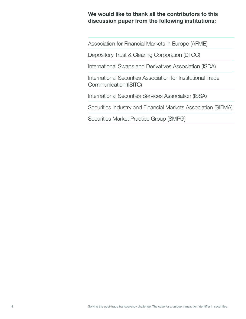## We would like to thank all the contributors to this discussion paper from the following institutions:

Association for Financial Markets in Europe (AFME)

Depository Trust & Clearing Corporation (DTCC)

International Swaps and Derivatives Association (ISDA)

International Securities Association for Institutional Trade Communication (ISITC)

International Securities Services Association (ISSA)

Securities Industry and Financial Markets Association (SIFMA)

Securities Market Practice Group (SMPG)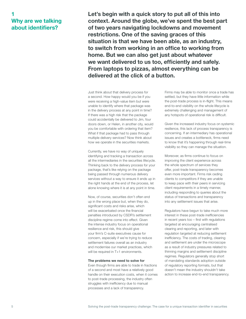## 1 Why are we talking about identifiers?

Let's begin with a quick story to put all of this into context. Around the globe, we've spent the best part of two years navigating lockdowns and movement restrictions. One of the saving graces of this situation is that we have been able, as an industry, to switch from working in an office to working from home. But we can also get just about whatever we want delivered to us too, efficiently and safely. From laptops to pizzas, almost everything can be delivered at the click of a button.

Just think about that delivery process for a second. How happy would you be if you were receiving a high-value item but were unable to identify where that package was in the delivery process at any point in time? If there was a high risk that the package could accidentally be delivered to Jim, four doors down, or Helen, in another city, would you be comfortable with ordering that item? What if that package had to pass through multiple delivery services? Now think about how we operate in the securities markets.

Currently, we have no way of uniquely identifying and tracking a transaction across all the intermediaries in the securities lifecycle. Thinking back to the delivery process for your package, that's like relying on the package being passed through numerous delivery services without a way to ensure it ends up in the right hands at the end of the process, let alone knowing where it is at any point in time.

Now, of course, securities don't often end up in the wrong place but, when they do, significant costs and risks arise, which will be exacerbated once the financial penalties introduced by CSDR's settlement discipline regime come into effect. Given the intense industry focus on operational resilience and risk, this should give your firm's C-suite executives cause for concern, especially if we're trying to reduce settlement failures overall as an industry and modernise our market practices, which will be required in T+1 environments.

#### The problems we need to solve for

Even though firms are able to trade in fractions of a second and most have a relatively good handle on their execution costs, when it comes to post-trade processing, the industry often struggles with inefficiency due to manual processes and a lack of transparency.

Firms may be able to monitor once a trade has settled, but they have little information while the post-trade process is in-flight. This means end-to-end visibility on the whole lifecycle is extremely challenging and management of any hotspots of operational risk is difficult.

Given the increased industry focus on systemic resilience, this lack of process transparency is concerning. If an intermediary has operational issues and creates a bottleneck, firms need to know that it's happening through real-time visibility so they can manage the situation.

Moreover, as firms continue to focus on improving the client experience across the whole spectrum of services they offer, post-trade transparency becomes even more important. Firms risk ceding clients to competitors if they are unable to keep pace with their peers in servicing client requirements in a timely manner, including responding to queries about the status of transactions and transparency into any settlement issues that arise.

Regulators have begun to take much more interest in these post-trade inefficiencies in recent years too – first with regulations targeted at encouraging centralised clearing and reporting, and later with regulation targeted at reducing settlement inefficiency. The costs of trading, clearing and settlement are under the microscope as a result of industry pressures related to thinning margins and settlement discipline regimes. Regulators generally stop short of mandating standards adoption outside of regulatory reporting formats, but that doesn't mean the industry shouldn't take action to increase end-to-end transparency.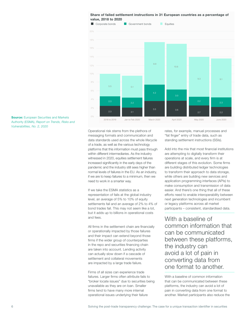

**Source:** European Securities and Markets Authority (ESMA), *Report on Trends, Risks and Vulnerabilities, No. 2, 2020*

> Operational risk stems from the plethora of messaging formats and communication and data standards used across the whole lifecycle of a trade, as well as the various technology platforms that this information must pass through within different intermediaries. As the industry witnessed in 2020, equities settlement failures increased significantly in the early days of the pandemic and the industry still sees higher than normal levels of failures in the EU. As an industry, if we are to keep failures to a minimum, then we need to work in a smarter way.

> If we take the ESMA statistics as a representation of fails at the global industry level, an average of 5% to 10% of equity settlements fail and an average of 2% to 4% of bond trades fail. This may not seem like a lot, but it adds up to billions in operational costs and fees.

All firms in the settlement chain are financially or operationally impacted by those failures and their impact can extend beyond those firms if the wider group of counterparties in the repo and securities financing chain are taken into account. Lending activity can actually slow down if a cascade of settlement and collateral movements are impacted by a large trade failure.

Firms of all sizes can experience trade failures. Larger firms often attribute fails to "broker locate issues" due to securities being unavailable as they are on loan. Smaller firms tend to have many more internal operational issues underlying their failure

rates, for example, manual processes and "fat finger" entry of trade data, such as standing settlement instructions (SSIs).

Add into the mix that most financial institutions are attempting to digitally transform their operations at scale, and every firm is at different stages of this evolution. Some firms are building distributed ledger technologies to transform their approach to data storage, while others are building new services and application programming interfaces (APIs) to make consumption and transmission of data easier. And there's one thing that all of these efforts need to enable interoperability between next generation technologies and incumbent or legacy platforms across all market participants – consistent, standardised data.

With a baseline of common information that can be communicated between these platforms, the industry can avoid a lot of pain in converting data from one format to another.

With a baseline of common information that can be communicated between these platforms, the industry can avoid a lot of pain in converting data from one format to another. Market participants also reduce the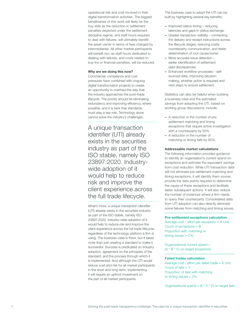operational risk and cost involved in their digital transformation activities. The biggest beneficiaries of this work will likely be the buy-side as the reduction in settlement penalties expected under the settlement discipline regime, and staff hours required to deal with failures, will ultimately benefit the asset owner in terms of fees charged by intermediaries. All other market participants will benefit too, as staff hours dedicated to dealing with failures, and costs related to buy-ins or financial penalties, will be reduced.

#### Why are we doing this now?

Commercial, compliance and cost pressures have combined with ongoing digital transformation projects to create an opportunity to overhaul the way that the industry approaches the post-trade lifecycle. The priority should be eliminating redundancy and improving efficiency, where possible, and it is here that standards must play a key role. Technology alone cannot solve the industry's challenges.

A unique transaction identifier (UTI) already exists in the securities industry as part of the ISO stable, namely ISO 23897:2020. Industrywide adoption of it would help to reduce risk and improve the client experience across the full trade lifecycle.

What's more, a unique transaction identifier (UTI) already exists in the securities industry as part of the ISO stable, namely ISO 23897:2020. Industry-wide adoption of it would help to reduce risk and improve the client experience across the full trade lifecycle, regardless of the technology platform a firm is using. The business case is there, but it takes more than just creating a standard to make it successful. Success is predicated on industry adoption, agreement on the principles of the standard, and the process through which it is implemented. And although the UTI would reduce cost and risk for all market participants in the short and long-term, implementing it will require an upfront investment on the part of all market participants.

The business case to adopt the UTI can be built by highlighting several key benefits:

- Improved status timing reducing latencies and gaps in status exchange.
- Greater transaction visibility connecting the delivery and receipt instructions across the lifecycle stages, reducing costly counterparty communication, and faster determination of root cause/owner.
- More accurate issue detection earlier identification of settlement data discrepancies.
- Enhanced workflow processes selfsourced data, improving decision making, whether action is required and next steps to ensure settlement.

Statistics can also be helpful when building a business case and the estimated savings from adopting the UTI, based on working group discussions, include:

- A reduction in the number of presettlement matching and timing exceptions that require active investigation with a counterparty by 50%.
- A reduction in the number of matching or timing fails by 90%.

#### Addressable market calculations

The following information provides guidance to identify an organisation's current spend on exceptions and estimate the equivalent savings from cost reduction. While UTI transaction data will not eliminate pre-settlement matching and timing exceptions, it will identify them sooner, provide the data points required to determine the cause of these exceptions and facilitate faster subsequent actions. It will also reduce the number of instances where a firm needs to query their counterparty. Consolidated data from UTI adoption can also directly eliminate some failures from matching and timing issues.

#### Pre-settlement exceptions calculation

Average cost / effort per exception = A Unit Count of exceptions = B Proportion with matching or timing issues = C%

Organisational current spend = (A \* B \* C) on target exceptions

#### Failed trades calculation

Average cost / effort per failed trade = X Unit Count of fails  $= Y$ Proportion of fails with matching or timing issues = Z%

Organisational spend =  $(X * Y * Z)$  on target fails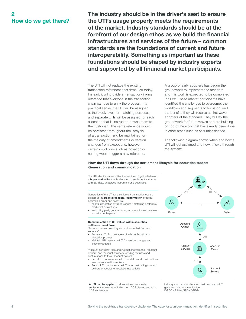## 2 How do we get there?

The industry should be in the driver's seat to ensure the UTI's usage properly meets the requirements of the market. Industry standards should be at the forefront of our design ethos as we build the financial infrastructures and services of the future – common standards are the foundations of current and future interoperability. Something as important as these foundations should be shaped by industry experts and supported by all financial market participants.

The UTI will not replace the existing transaction references that firms use today. Instead, it will provide a transaction-linking reference that everyone in the transaction chain can use to unify the process. In a practical sense, the UTI will be assigned at the block level, for matching purposes, and separate UTIs will be assigned for each allocation that is instructed downstream to the custodian. The same reference would be persistent throughout the lifecycle of a transaction and be maintained for the majority of amendments or version changes from exceptions, however, certain conditions such as novation or netting would trigger a new reference.

A group of early adopters has begun the groundwork to implement the standard and this work is expected to be completed in 2022. These market participants have identified the challenges to overcome, the workflows and segments to focus on, and the benefits they will receive as first wave adopters of the standard. They will lay the groundwork for future waves and are building on top of the work that has already been done in other areas such as securities finance.

The following diagram shows when and how a UTI will get assigned and how it flows through the system:

#### How the UTI flows through the settlement lifecycle for securities trades: Generation and communication

The UTI identifies a securities transaction obligation between a buyer and seller that is allocated to settlement accounts 血 with SSI data, an agreed instrument and quantities. 血 UTI UTI Generation of the UTI for a settlement transaction occurs as part of the **trade allocation / confirmation** process between a buyer and seller via: – central generation by trade venues / matching platforms / UTI market infrastructures – instructing party generation who communicates the value Buyer **Buyer** Seller to their counterparty Communication of UTI values within securities Account settlement workflows Owner 'Account owners' sending instructions to their 'account servicers' – Populate UTI: from an agreed trade confirmation or allocation process – Maintain UTI: use same UTI for version changes and lifecycle updates Account m Servicer 'Account servicers' receiving instructions from their 'account owners' and 'account servicers' sending statuses and confirmations to their 'account owners' UTI

- Echo UTI: populate same UTI on status and confirmations sent for received instructions
- Persist UTI: populate same UTI when instructing onward delivery or receipt for received instructions

A UTI can be applied to all securities post- trade settlement workflows including both CCP cleared and non-CCP settlements.

Industry standards and market best practice on UTI generation and communication: [IOSCO](https://www.iosco.org/library/pubdocs/pdf/IOSCOPD557.pdf) / [ESMA](https://www.esma.europa.eu/sites/default/files/library/esma70-151-2838_guidelines_on_reporting_under_sftr.pdf) / [ISDA](https://www.isda.org/a/IdiDE/2015-july-20-uti-best-practice-v11.pdf) / [GFMA](https://www.gfma.org/wp-content/uploads/uploadedFiles/Initiatives/Foreign_Exchange_(FX)/GFXDMAGUTIGeneratedbyExecutionPlatformsJan2014.pdf)

Account **Owner** 

Account Servicer

UTI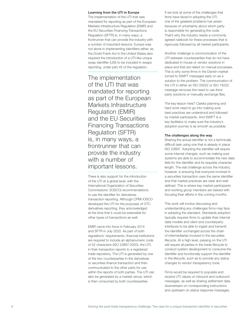#### Learning from the UTI in Europe

The implementation of the UTI that was mandated for reporting as part of the European Markets Infrastructure Regulation (EMIR) and the EU Securities Financing Transactions Regulation (SFTR) is, in many ways, a frontrunner that can provide the industry with a number of important lessons. Europe was not alone in implementing identifiers either, as the Dodd-Frank Act in the United States also required the introduction of a UTI-like unique swap identifier (USI) to be included in swaps reporting, under part 45 of the regulation.

The implementation of the UTI that was mandated for reporting as part of the European Markets Infrastructure Regulation (EMIR) and the EU Securities Financing Transactions Regulation (SFTR) is, in many ways, a frontrunner that can provide the industry with a number of important lessons.

There is also support for the introduction of the UTI at a global level, with the International Organization of Securities Commissions' (IOSCO) recommendations to use the identifier for derivatives transaction reporting. Although CPMI IOSCO developed the UTI for the purposes of OTC derivatives reporting, they acknowledged at the time that it could be extensible for other types of transactions as well.

EMIR came into force in February 2014 and SFTR in July 2020. As part of both regulations' requirements, financial institutions are required to include an alphanumeric code of 52 characters (ISO 23897:2020), the UTI, in their transaction reports to a registered trade repository. The UTI is generated by one of the two counterparties in the derivatives or securities finance transaction and then communicated to the other party for use within the reports of both parties. The UTI can also be generated by a market venue, which is then consumed by both counterparties.

If we look at some of the challenges that firms have faced in adopting the UTI, one of the greatest problems has arisen because of uncertainty about which party is responsible for generating the code. That's why the industry needs a commonly agreed rulebook for these processes that is rigorously followed by all market participants.

Another challenge is communication of the UTI between counterparties that do not have dedicated in-house or vendor solutions in place and that are reliant on manual processes. This is why some firms in the Danish market turned to SWIFT messages early on as a solution to the problem. The communication of the UTI in either an ISO 20022 or ISO 15022 message removes the need to use thirdparty solutions or manually exchange files.

The key lesson here? Careful planning and hard work need to go into making sure best practices are understood and followed by market participants. And SWIFT is a key facilitator to make sure the industry's adoption journey is as smooth as possible.

#### The challenges along the way

Sharing the actual identifier is not a technically difficult task using one that is already in place: ISO 23897. Adopting the identifier will require some internal changes, such as making sure systems are able to accommodate the new data field for the identifier and its requisite character length. The real challenge across the industry, however, is ensuring that everyone involved in a securities transaction uses the same identifier and that market practices are clear and welldefined. This is where key market participants and working group members are tasked with focusing their efforts in the coming months.

This work will involve discussing and understanding any challenges firms may face in adopting the standard. Standards adoption typically requires firms to update their internal data models and client and counterparty interfaces to be able to ingest and transmit the identifier unchanged across the chain of intermediaries involved in the securities lifecycle. At a high level, passing on the UTI will require all parties in the trade lifecycle to conduct system development to consume the identifier and functionally support the identifier in the lifecycle, such as to provide any status changes to vendor transparency tools.

Firms would be required to populate and receive UTI values on inbound and outbound messages, as well as sharing settlement data downstream on corresponding instructions and upstream on status response messages.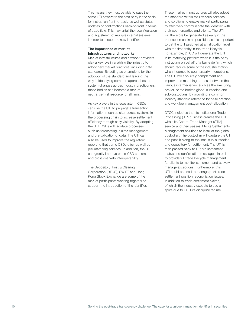This means they must be able to pass the same UTI onward to the next party in the chain for instruction front-to-back, as well as status updates or confirmations back-to-front in terms of trade flow. This may entail the reconfiguration and adjustment of multiple internal systems in order to accept the new identifier.

#### The importance of market infrastructures and networks

Market infrastructures and network providers play a key role in enabling the industry to adopt new market practices, including data standards. By acting as champions for the adoption of the standard and leading the way in identifying common approaches to system changes across industry practitioners, these bodies can become a marketneutral central resource for all firms.

As key players in the ecosystem, CSDs can use the UTI to propagate transaction information much quicker across systems in the processing chain to increase settlement efficiency through early visibility. By adopting the UTI, CSDs will facilitate processes such as forecasting, claims management and pre-validation of data. The UTI can also be used to improve the regulatory reporting that some CSDs offer, as well as pre-matching services. In addition, the UTI can greatly improve cross-CSD settlement and cross-markets interoperability.

The Depository Trust & Clearing Corporation (DTCC), SWIFT and Hong Kong Stock Exchange are some of the market participants working together to support the introduction of the identifier. These market infrastructures will also adopt the standard within their various services and solutions to enable market participants to effectively communicate the identifier with their counterparties and clients. The UTI will therefore be generated as early in the transaction chain as possible, as it is important to get the UTI assigned at an allocation level with the first entity in the trade lifecycle. For example, DTCC will generate the UTI in its matching platform when it is the party instructing on behalf of a buy-side firm, which should reduce some of the industry friction when it comes to counterparty interactions. The UTI will also likely complement and improve the matching process between the various intermediaries, such as the executing broker, prime broker, global custodian and sub-custodians, by providing a common, industry standard reference for case creation and workflow management post-allocation.

DTCC indicates that its Institutional Trade Processing (ITP) business creates the UTI within its Central Trade Manager (CTM) service and then passes it to its Settlements Management solutions to instruct the global custodian. The custodian will capture the UTI and pass it along to the local sub-custodian and depository for settlement. The UTI is then passed back to ITP, via settlement status and confirmation messages, in order to provide full trade lifecycle management for clients to monitor settlement and actively manage exceptions. Furthermore, this UTI could be used to manage post-trade settlement position reconciliation issues, in addition to trade settlement claims, of which the industry expects to see a spike due to CSDR's discipline regime.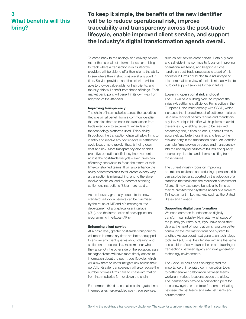## 3 What benefits will this bring?

To keep it simple, the benefits of the new identifier will be to reduce operational risk, improve traceability and transparency across the post-trade lifecycle, enable improved client service, and support the industry's digital transformation agenda overall.

To come back to the analogy of a delivery service, rather than a chain of intermediaries scrambling to track where a transaction is in its lifecycle, providers will be able to offer their clients the ability to see where their instructions are at any point in time. Service providers and the sell-side will be able to provide value-adds for their clients, and the buy-side will benefit from these offerings. Each market participant will benefit in its own way from adoption of the standard.

#### Improving transparency

The chain of intermediaries across the securities lifecycle will all benefit from a common identifier that enables them to track the transaction from trade execution to settlement, regardless of the technology platforms used. This visibility throughout the transaction chain will allow firms to identify and resolve any bottlenecks or settlement cycle issues more rapidly; thus, bringing down cost and risk. More transparency also enables proactive operational efficiency improvements across the post-trade lifecycle – executives can effectively see where to focus the efforts of their time-constrained teams. It will also enhance the ability of intermediaries to tell clients exactly why a transaction is mismatching, and to therefore resolve breaks caused by incorrect standing settlement instructions (SSIs) more rapidly.

As the industry gradually adapts to the new standard, adoption barriers can be minimised by the reuse of MT and MX messages, the development of a graphical user interface (GUI), and the introduction of new application programming interfaces (APIs).

#### Enhancing client service

At a basic level, greater post-trade transparency will mean intermediary firms are better equipped to answer any client queries about clearing and settlement processes in a rapid manner when they arise. On the other side of the equation, asset manager clients will have more timely access to information about the post-trade lifecycle, which will allow them to better mitigate risk across their portfolio. Greater transparency will also reduce the number of times firms have to chase information from intermediaries further down the chain.

Furthermore, this data can also be integrated into intermediaries' value-added post-trade services,

such as self-service client portals. Both buy-side and sell-side firms continue to focus on improving operational resilience, and keeping a close handle on post-trade processes is a part of this endeavour. Firms could also take advantage of this more real-time view of their clients' activities to build out support services further in future.

#### Lowering operational risk and cost

The UTI will be a building block to improve the industry's settlement efficiency. Firms active in the European Union must comply with CSDR, which increases the financial impact of settlement failures via a new regional penalty regime and mandatory buy-ins. A unique identifier will help firms to avoid these fines by enabling issues to be resolved proactively and, if fines do occur, enable firms to accurately attribute those fines and fees to the relevant party in the transaction chain. An identifier can help firms provide evidence and transparency into the underlying causes of failures and quickly resolve any disputes and claims resulting from those failures.

The current industry focus on improving operational resilience and reducing operational risk can also be better supported by the adoption of a standard that facilitates the reduction of settlement failures. It may also prove beneficial to firms as they re-architect their systems ahead of a move to T+1 settlement in key markets such as the United States and Canada.

#### Supporting digital transformation

We need common foundations to digitally transform our industry. No matter what stage of the journey your firm is at, if you have consistent data at the heart of your platforms, you can better communicate information from one system to another. As you adopt next generation technology tools and solutions, the identifier remains the same and enables effective transmission and tracking of transactions between legacy and next generation technology environments.

The Covid-19 crisis has also highlighted the importance of integrated communication tools to better enable collaboration between teams working in various locations across the globe. The identifier can provide a connection point for these new systems and tools for communicating between internal teams and external clients and counterparties.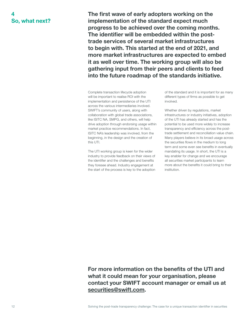## 4 So, what next?

The first wave of early adopters working on the implementation of the standard expect much progress to be achieved over the coming months. The identifier will be embedded within the posttrade services of several market infrastructures to begin with. This started at the end of 2021, and more market infrastructures are expected to embed it as well over time. The working group will also be gathering input from their peers and clients to feed into the future roadmap of the standards initiative.

Complete transaction lifecycle adoption will be important to realise ROI with the implementation and persistence of the UTI across the various intermediaries involved. SWIFT's community of users, along with collaboration with global trade associations, like ISITC NA, SMPG, and others, will help drive adoption through endorsing usage within market practice recommendations. In fact, ISITC NA's leadership was involved, from the beginning, in the design and the creation of this UTI.

The UTI working group is keen for the wider industry to provide feedback on their views of the identifier and the challenges and benefits they foresee ahead. Industry engagement at the start of the process is key to the adoption of the standard and it is important for as many different types of firms as possible to get involved.

Whether driven by regulations, market infrastructures or industry initiatives, adoption of the UTI has already started and has the potential to be used more widely to increase transparency and efficiency across the posttrade settlement and reconciliation value chain. Many players believe in its broad usage across the securities flows in the medium to long term and some even see benefits in eventually mandating its usage. In short, the UTI is a key enabler for change and we encourage all securities market participants to learn more about the benefits it could bring to their institution.

For more information on the benefits of the UTI and what it could mean for your organisation, please contact your SWIFT account manager or email us at [securities@swift.com](mailto:securities%40swift.com?subject=).